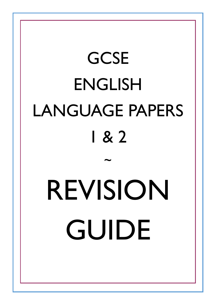# **GCSE** ENGLISH LANGUAGE PAPERS 1 & 2 ~ REVISION GUIDE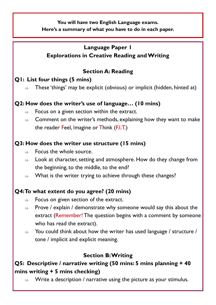**You will have two English Language exams. Here's a summary of what you have to do in each paper.**

# **Language Paper 1 Explorations in Creative Reading and Writing**

# **Section A: Reading**

# **Q1: List four things (5 mins)**

 $\Rightarrow$  These 'things' may be explicit (obvious) or implicit (hidden, hinted at)

# **Q2: How does the writer's use of language… (10 mins)**

- $\Rightarrow$  Focus on a given section within the extract.
- $\Rightarrow$  Comment on the writer's methods, explaining how they want to make the reader Feel, Imagine or Think (F.I.T.)

# **Q3: How does the writer use structure (15 mins)**

- $\Rightarrow$  Focus the whole source.
- $\Rightarrow$  Look at character, setting and atmosphere. How do they change from the beginning, to the middle, to the end?
- $\Rightarrow$  What is the writer trying to achieve through these changes?

# **Q4: To what extent do you agree? (20 mins)**

- $\Rightarrow$  Focus on given section of the extract.
- $\Rightarrow$  Prove / explain / demonstrate why someone would say this about the extract (Remember! The question begins with a comment by someone who has read the extract).
- $\Rightarrow$  You could think about how the writer has used language / structure / tone / implicit and explicit meaning.

# **Section B: Writing**

# **Q5: Descriptive / narrative writing (50 mins: 5 mins planning + 40 mins writing + 5 mins checking)**

 $\Rightarrow$  Write a description / narrative using the picture as your stimulus.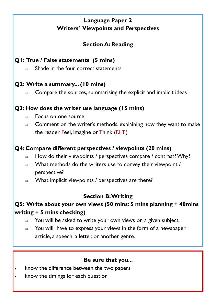# **Language Paper 2 Writers' Viewpoints and Perspectives**

# **Section A: Reading**

# **Q1: True / False statements (5 mins)**

 $\rightarrow$  Shade in the four correct statements

# **Q2: Write a summary... (10 mins)**

 $\Rightarrow$  Compare the sources, summarising the explicit and implicit ideas

# **Q3: How does the writer use language (15 mins)**

- $\Rightarrow$  Focus on one source.
- $\Rightarrow$  Comment on the writer's methods, explaining how they want to make the reader Feel, Imagine or Think (F.I.T.)

#### **Q4: Compare different perspectives / viewpoints (20 mins)**

- $\Rightarrow$  How do their viewpoints / perspectives compare / contrast? Why?
- $\Rightarrow$  What methods do the writers use to convey their viewpoint / perspective?
- $\Rightarrow$  What implicit viewpoints / perspectives are there?

# **Section B: Writing**

# **Q5: Write about your own views (50 mins: 5 mins planning + 40mins writing + 5 mins checking)**

- $\Rightarrow$  You will be asked to write your own views on a given subject.
- $\Rightarrow$  You will have to express your views in the form of a newspaper article, a speech, a letter, or another genre.

#### **Be sure that you...**

- know the difference between the two papers
- know the timings for each question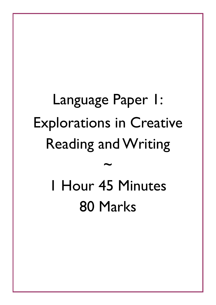# Language Paper 1: Explorations in Creative Reading and Writing ~ 1 Hour 45 Minutes

80 Marks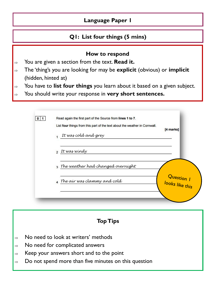#### **Q1: List four things (5 mins)**

#### **How to respond**

- $\Rightarrow$  You are given a section from the text. **Read it.**
- The 'thing's you are looking for may be **explicit** (obvious) or **implicit**  (hidden, hinted at)
- You have to **list four things** you learn about it based on a given subject.
- You should write your response in **very short sentences.**

| List four things from this part of the text about the weather in Cornwall. | [4 marks]                       |
|----------------------------------------------------------------------------|---------------------------------|
| It was cold and grey                                                       |                                 |
| 2 It was windy                                                             |                                 |
| 3 The weather had changed overnight                                        |                                 |
| 4 The air was clammy and cold                                              | Question  <br>  looks like this |

- $\Rightarrow$  No need to look at writers' methods
- $\Rightarrow$  No need for complicated answers
- $\Rightarrow$  Keep your answers short and to the point
- $\Rightarrow$  Do not spend more than five minutes on this question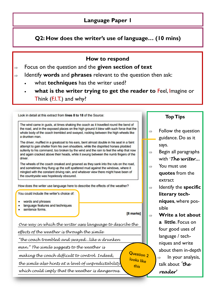**Q2: How does the writer's use of language… (10 mins)**

#### **How to respond**

- Focus on the question and the **given section of text**
- Identify **words** and **phrases** relevant to the question then ask:
	- what **techniques** has the writer used?
	- **what is the writer trying to get the reader to** Feel, Imagine or Think (F.I.T.) and why?

Look in detail at this extract from lines 8 to 18 of the Source:

The wind came in gusts, at times shaking the coach as it travelled round the bend of the road, and in the exposed places on the high ground it blew with such force that the whole body of the coach trembled and swayed, rocking between the high wheels like a drunken man.

The driver, muffled in a greatcoat to his ears, bent almost double in his seat in a faint attempt to gain shelter from his own shoulders, while the dispirited horses plodded sullenly to his command, too broken by the wind and the rain to feel the whip that now and again cracked above their heads, while it swung between the numb fingers of the driver.

The wheels of the coach creaked and groaned as they sank into the ruts on the road, and sometimes they flung up the soft spattered mud against the windows, where it mingled with the constant driving rain, and whatever view there might have been of the countryside was hopelessly obscured.

How does the writer use language here to describe the effects of the weather?

You could include the writer's choice of:

- words and phrases
- language features and techniques
- sentence forms.

[8 marks]

Question 2 looks like this

*One way in which the writer uses language to describe the* 

*effects of the weather is through the simile* 

*"the coach trembled and swayed...like a drunken*

*man." The simile suggests to the weather is* 

*making the coach difficult to control. Indeed,* 

*the simile also hints at a level of unpredictability*

*which could imply that the weather is dangerous.*

- $\Rightarrow$  Follow the question guidance. Do as it says.
- $\Rightarrow$  Begin all paragraphs with '*The writer...*
- $\Rightarrow$  You must use **quotes** from the extract
- $\Rightarrow$  Identify the **specific literary techniques**, where possible
- **Write a lot about a little**. Focus on four good uses of language / techniques and write about them in-depth  $\Rightarrow$  In your analysis, talk about *'the reader'*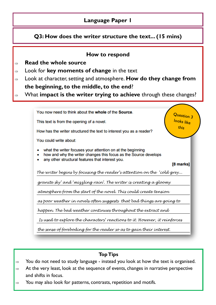# **Q3: How does the writer structure the text... (15 mins)**

#### **How to respond**

- **Read the whole source**
- Look for **key moments of change** in the text
- Look at character, setting and atmosphere. **How do they change from**

#### **the beginning, to the middle, to the end**?

What **impact is the writer trying to achieve** through these changes?

You now need to think about the whole of the Source.

This text is from the opening of a novel.

How has the writer structured the text to interest you as a reader?

You could write about:

- what the writer focuses your attention on at the beginning
- how and why the writer changes this focus as the Source develops
- any other structural features that interest you.

[8 marks]

Question 3 looks like

this

*The writer begins by focusing the reader's attention on the 'cold grey...*

*granite sky' and 'mizzling rain'. The writer is creating a gloomy*

*atmosphere from the start of the novel. This could create tension*

*as poor weather in novels often suggests that bad things are going to* 

*happen. The bad weather continues throughout the extract and* 

*Is used to explore the characters' reactions to it. However, it reinforces* 

*the sense of foreboding for the reader so as to gain their interest.*

- $\Rightarrow$  You do not need to study language instead you look at how the text is organised.
- $\Rightarrow$  At the very least, look at the sequence of events, changes in narrative perspective and shifts in focus.
- $\Rightarrow$  You may also look for patterns, contrasts, repetition and motifs.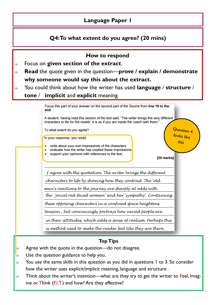#### **Q4: To what extent do you agree? (20 mins)**



- $\Rightarrow$  Agree with the quote in the question—do not disagree.
- Use the question guidance to help you.
- $\Rightarrow$  You use the same skills in this question as you did in questions 1 to 3. So consider how the writer uses explicit/implicit meaning, language and structure .
- $\Rightarrow$  Think about the writer's intention—what are they try to get the writer to Feel, Imagine or Think (F.I.T.) and how? Are they effective?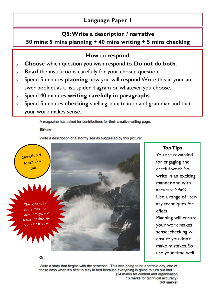#### **Q5: Write a description / narrative**

#### **50 mins: 5 mins planning + 40 mins writing + 5 mins checking**

#### **How to respond**

- **Choose** which question you wish respond to. **Do not do both**.
- **Read** the instructions carefully for your chosen question.
- Spend 5 minutes **planning** how you will respond. Write this in your answer booklet as a list, spider diagram or whatever you choose.
- Spend 40 minutes **writing carefully in paragraphs**
- Spend 5 minutes **checking** spelling, punctuation and grammar and that your work makes sense.

A magazine has asked for contributions for their creative writing page.

**Either:** 

Write a description of a stormy sea as suggested by this picture:



The options for this question can vary. It might not always be description or narrative.

**Top Tips**

- You are rewarded for engaging and careful work. So write in an exciting manner and with accurate SPaG.
- $\Rightarrow$  Use a range of literary techniques for effect.
- $\Rightarrow$  Planning will ensure your work makes sense; checking will ensure you don't make mistakes. So use your time well.

Or:

Write a story that begins with the sentence: 'This was going to be a terrible day, one of those days when it's best to stay in bed because everything is going to turn out bad.' (24 marks for content and organisation 16 marks for technical accuracy) [40 marks]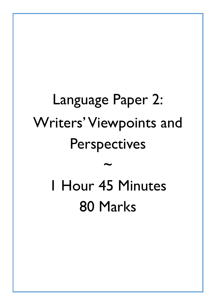# Language Paper 2: Writers' Viewpoints and Perspectives ~ 1 Hour 45 Minutes 80 Marks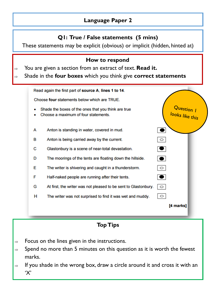#### **Q1: True / False statements (5 mins)**

These statements may be explicit (obvious) or implicit (hidden, hinted at)

#### **How to respond**

- You are given a section from an extract of text. **Read it.**
- Shade in the **four boxes** which you think give **correct statements**

|        | Read again the first part of source A, lines 1 to 14.                                       |                               |  |
|--------|---------------------------------------------------------------------------------------------|-------------------------------|--|
|        | Choose four statements below which are TRUE.                                                |                               |  |
| ۰<br>٠ | Shade the boxes of the ones that you think are true<br>Choose a maximum of four statements. | Question I<br>looks like this |  |
| A      | Anton is standing in water, covered in mud.                                                 | $\bullet$                     |  |
| в      | Anton is being carried away by the current.                                                 | $\circ$                       |  |
| с      | Glastonbury is a scene of near-total devastation.                                           | $\bullet$                     |  |
| D      | The moorings of the tents are floating down the hillside.                                   | $\bullet$                     |  |
| Е      | The writer is shivering and caught in a thunderstorm.                                       | $\circ$                       |  |
| F      | Half-naked people are running after their tents.                                            | $\bullet$                     |  |
| G      | At first, the writer was not pleased to be sent to Glastonbury.                             | $\circ$                       |  |
| н      | The writer was not surprised to find it was wet and muddy.                                  | $\circ$                       |  |
|        |                                                                                             | [4 marks]                     |  |
|        |                                                                                             |                               |  |

- $\Rightarrow$  Focus on the lines given in the instructions.
- $\Rightarrow$  Spend no more than 5 minutes on this question as it is worth the fewest marks.
- If you shade in the wrong box, draw a circle around it and cross it with an 'X'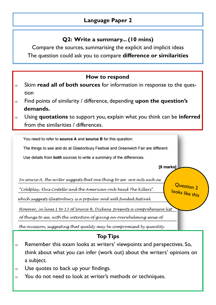# **Q2: Write a summary... (10 mins)**

Compare the sources, summarising the explicit and implicit ideas The question could ask you to compare **difference or similarities**



- $\Rightarrow$  Remember this exam looks at writers' viewpoints and perspectives. So, think about what you can infer (work out) about the writers' opinions on a subject.
- Use quotes to back up your findings.
- $\Rightarrow$  You do not need to look at writer's methods or techniques.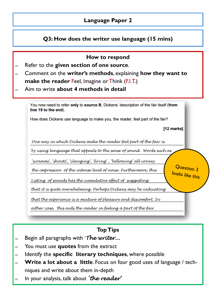#### **Q3: How does the writer use language (15 mins)**

| How to respond<br>Refer to the given section of one source.<br>Comment on the writer's methods, explaining how they want to<br><b>make the reader Feel, Imagine or Think (F.I.T.)</b><br>Aim to write about 4 methods in detail                                                                                                                                                                                                                     |  |  |
|-----------------------------------------------------------------------------------------------------------------------------------------------------------------------------------------------------------------------------------------------------------------------------------------------------------------------------------------------------------------------------------------------------------------------------------------------------|--|--|
| You now need to refer only to source B, Dickens' description of the fair itself (from<br>line 19 to the end).                                                                                                                                                                                                                                                                                                                                       |  |  |
| How does Dickens use language to make you, the reader, feel part of the fair?                                                                                                                                                                                                                                                                                                                                                                       |  |  |
| [12 marks]                                                                                                                                                                                                                                                                                                                                                                                                                                          |  |  |
| One way in which Dickens make the reader feel part of the fair is<br>by using language that appeals to the sense of sound. Words such as<br>'screams', 'shouts', 'clanging', 'firing' , 'bellowing' all convey<br>Question 3<br>the impression of the intense level of noise. Furthermore, this<br>looks like this<br>Listing of sounds has the cumulative effect of suggesting<br>that it is quite overwhelming. Perhaps Dickens may be indicating |  |  |
| that the experience is a mixture of pleasure and discomfort. In<br>either case, this aids the reader in feeling a part of the fair.                                                                                                                                                                                                                                                                                                                 |  |  |

- Begin all paragraphs with '*The writer...*
- You must use **quotes** from the extract
- $\Rightarrow$  Identify the **specific literary techniques**, where possible
- **Write a lot about a little**. Focus on four good uses of language / techniques and write about them in-depth
- In your analysis, talk about *'the reader'*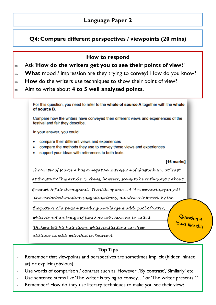# **Q4: Compare different perspectives / viewpoints (20 mins)**

#### **How to respond**

- Ask '**How do the writers get you to see their points of view**?'
- $\Rightarrow$  **What** mood / impression are they trying to convey? How do you know?
- $\Rightarrow$  **How** do the writers use techniques to show their point of view?
- Aim to write about **4 to 5 well analysed points**.

For this question, you need to refer to the whole of source A together with the whole of source B.

Compare how the writers have conveyed their different views and experiences of the festival and fair they describe.

In your answer, you could:

- compare their different views and experiences
- compare the methods they use to convey those views and experiences
- support your ideas with references to both texts.

#### [16 marks]

*The writer of source A has a negative impression of Glastonbury, at least* 

*at the start of his article. Dickens, however, seems to be enthusiastic about*

*Greenwich Fair throughout. The title of source A 'Are we having fun yet?'*

*is a rhetorical question suggesting irony, an idea reinforced by the*

*the picture of a person standing in a large muddy pool of water,*

*which is not an image of fun. Source B, however is called* 

*'Dickens lets his hair down' which indicates a carefree*

*attitude at odds with that in Source A.*

#### **Top Tips**

- $\Rightarrow$  Remember that viewpoints and perspectives are sometimes implicit (hidden, hinted at) or explicit (obvious).
- $\Rightarrow$  Use words of comparison / contrast such as 'However', 'By contrast', 'Similarly' etc
- $\Rightarrow$  Use sentence stems like 'The writer is trying to convey...' or 'The writer presents..'.
- $\Rightarrow$  Remember! How do they use literary techniques to make you see their view?

Question 4 looks like this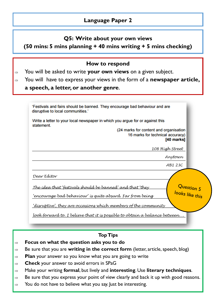#### **Q5: Write about your own views**

#### **(50 mins: 5 mins planning + 40 mins writing + 5 mins checking)**

#### **How to respond**

- You will be asked to write **your own views** on a given subject.
- You will have to express your views in the form of a **newspaper article,**

#### **a speech, a letter, or another genre**.

| 'Festivals and fairs should be banned. They encourage bad behaviour and are<br>disruptive to local communities.' |
|------------------------------------------------------------------------------------------------------------------|
| Write a letter to your local newspaper in which you argue for or against this<br>statement.                      |
| (24 marks for content and organisation<br>16 marks for technical accuracy)<br>[40 marks]                         |
| 108 High Street                                                                                                  |
| Anytown                                                                                                          |
| AB1 23C                                                                                                          |
| Dear Edítor                                                                                                      |
| Question 5<br>looks like this<br><u>The ídea that 'festívals should be banned' and that 'they</u>                |
| 'encourage bad behavíour' ís quíte absurd. Far from beíng                                                        |
| <u>'disruptive', they are occasions which members of the community</u>                                           |
| <u>look forward to. I believe that it is possible to obtain a balance between</u>                                |

- **Focus on what the question asks you to do**
- $\Rightarrow$  Be sure that you are **writing in the correct form** (letter, article, speech, blog)
- **Plan** your answer so you know what you are going to write
- **Check** your answer to avoid errors in SPaG
- Make your writing **formal**, but lively and **interesting**. Use **literary techniques**.
- $\Rightarrow$  Be sure that you express your point of view clearly and back it up with good reasons.
- $\Rightarrow$  You do not have to believe what you say. Just be interesting.